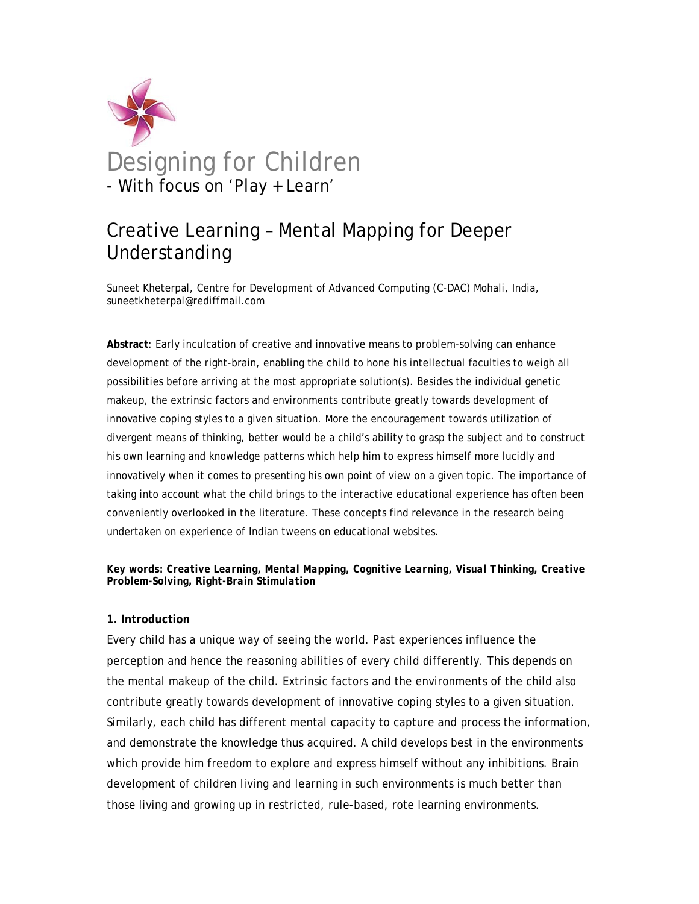

# Creative Learning – Mental Mapping for Deeper Understanding

Suneet Kheterpal, Centre for Development of Advanced Computing (C-DAC) Mohali, India, suneetkheterpal@rediffmail.com

**Abstract**: Early inculcation of creative and innovative means to problem-solving can enhance development of the right-brain, enabling the child to hone his intellectual faculties to weigh all possibilities before arriving at the most appropriate solution(s). Besides the individual genetic makeup, the extrinsic factors and environments contribute greatly towards development of innovative coping styles to a given situation. More the encouragement towards utilization of divergent means of thinking, better would be a child's ability to grasp the subject and to construct his own learning and knowledge patterns which help him to express himself more lucidly and innovatively when it comes to presenting his own point of view on a given topic. The importance of taking into account what the child brings to the interactive educational experience has often been conveniently overlooked in the literature. These concepts find relevance in the research being undertaken on experience of Indian tweens on educational websites.

## *Key words: Creative Learning, Mental Mapping, Cognitive Learning, Visual Thinking, Creative Problem-Solving, Right-Brain Stimulation*

# **1. Introduction**

Every child has a unique way of seeing the world. Past experiences influence the perception and hence the reasoning abilities of every child differently. This depends on the mental makeup of the child. Extrinsic factors and the environments of the child also contribute greatly towards development of innovative coping styles to a given situation. Similarly, each child has different mental capacity to capture and process the information, and demonstrate the knowledge thus acquired. A child develops best in the environments which provide him freedom to explore and express himself without any inhibitions. Brain development of children living and learning in such environments is much better than those living and growing up in restricted, rule-based, rote learning environments.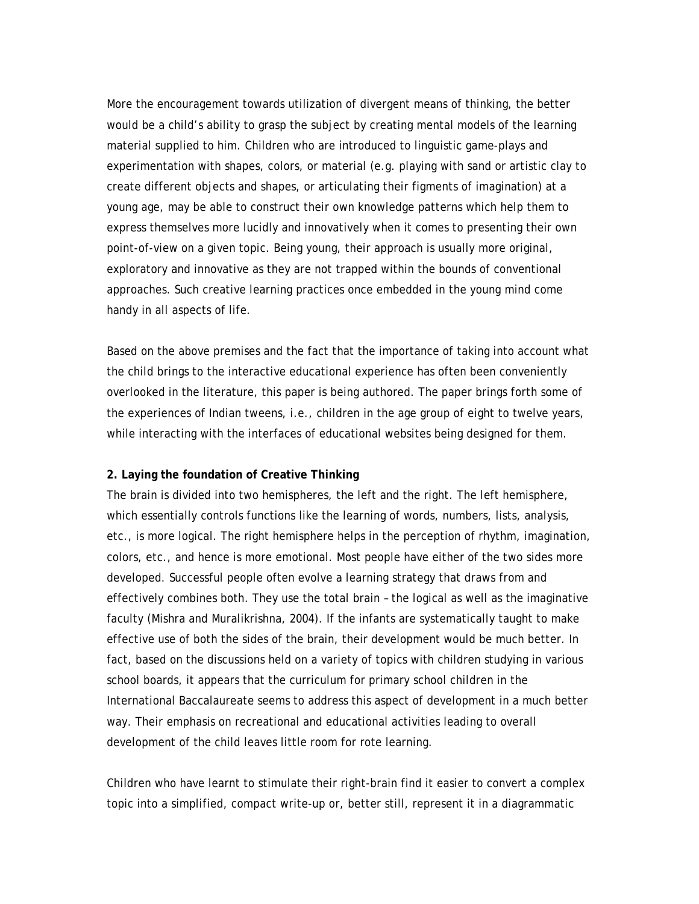More the encouragement towards utilization of divergent means of thinking, the better would be a child's ability to grasp the subject by creating mental models of the learning material supplied to him. Children who are introduced to linguistic game-plays and experimentation with shapes, colors, or material (e.g. playing with sand or artistic clay to create different objects and shapes, or articulating their figments of imagination) at a young age, may be able to construct their own knowledge patterns which help them to express themselves more lucidly and innovatively when it comes to presenting their own point-of-view on a given topic. Being young, their approach is usually more original, exploratory and innovative as they are not trapped within the bounds of conventional approaches. Such creative learning practices once embedded in the young mind come handy in all aspects of life.

Based on the above premises and the fact that the importance of taking into account what the child brings to the interactive educational experience has often been conveniently overlooked in the literature, this paper is being authored. The paper brings forth some of the experiences of Indian tweens, i.e., children in the age group of eight to twelve years, while interacting with the interfaces of educational websites being designed for them.

### **2. Laying the foundation of Creative Thinking**

The brain is divided into two hemispheres, the left and the right. The left hemisphere, which essentially controls functions like the learning of words, numbers, lists, analysis, etc., is more logical. The right hemisphere helps in the perception of rhythm, imagination, colors, etc., and hence is more emotional. Most people have either of the two sides more developed. Successful people often evolve a learning strategy that draws from and effectively combines both. They use the total brain – the logical as well as the imaginative faculty (Mishra and Muralikrishna, 2004). If the infants are systematically taught to make effective use of both the sides of the brain, their development would be much better. In fact, based on the discussions held on a variety of topics with children studying in various school boards, it appears that the curriculum for primary school children in the International Baccalaureate seems to address this aspect of development in a much better way. Their emphasis on recreational and educational activities leading to overall development of the child leaves little room for rote learning.

Children who have learnt to stimulate their right-brain find it easier to convert a complex topic into a simplified, compact write-up or, better still, represent it in a diagrammatic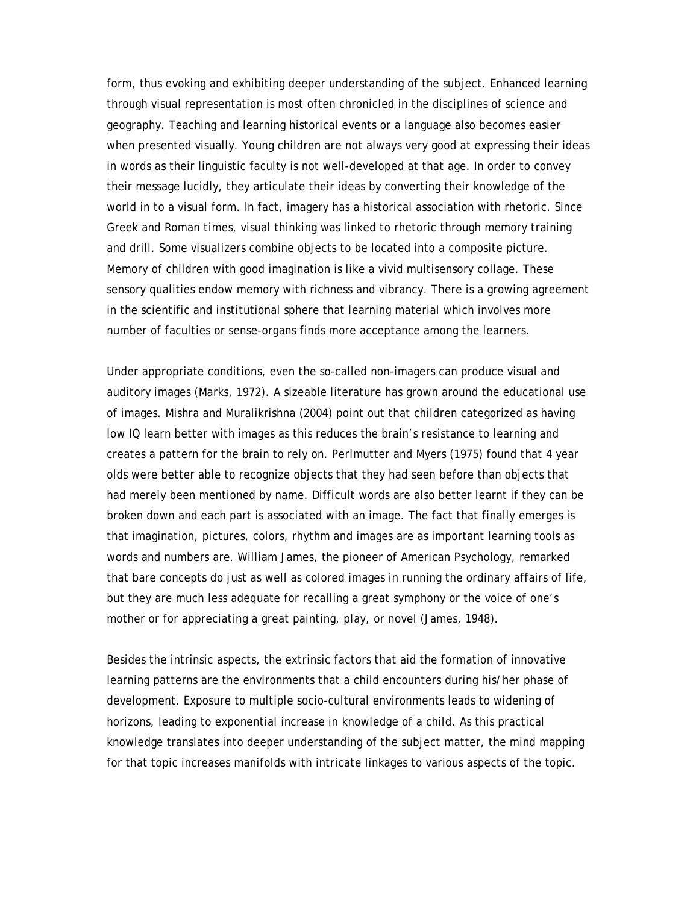form, thus evoking and exhibiting deeper understanding of the subject. Enhanced learning through visual representation is most often chronicled in the disciplines of science and geography. Teaching and learning historical events or a language also becomes easier when presented visually. Young children are not always very good at expressing their ideas in words as their linguistic faculty is not well-developed at that age. In order to convey their message lucidly, they articulate their ideas by converting their knowledge of the world in to a visual form. In fact, imagery has a historical association with rhetoric. Since Greek and Roman times, visual thinking was linked to rhetoric through memory training and drill. Some visualizers combine objects to be located into a composite picture. Memory of children with good imagination is like a vivid multisensory collage. These sensory qualities endow memory with richness and vibrancy. There is a growing agreement in the scientific and institutional sphere that learning material which involves more number of faculties or sense-organs finds more acceptance among the learners.

Under appropriate conditions, even the so-called non-imagers can produce visual and auditory images (Marks, 1972). A sizeable literature has grown around the educational use of images. Mishra and Muralikrishna (2004) point out that children categorized as having low IQ learn better with images as this reduces the brain's resistance to learning and creates a pattern for the brain to rely on. Perlmutter and Myers (1975) found that 4 year olds were better able to recognize objects that they had seen before than objects that had merely been mentioned by name. Difficult words are also better learnt if they can be broken down and each part is associated with an image. The fact that finally emerges is that imagination, pictures, colors, rhythm and images are as important learning tools as words and numbers are. William James, the pioneer of American Psychology, remarked that bare concepts do just as well as colored images in running the ordinary affairs of life, but they are much less adequate for recalling a great symphony or the voice of one's mother or for appreciating a great painting, play, or novel (James, 1948).

Besides the intrinsic aspects, the extrinsic factors that aid the formation of innovative learning patterns are the environments that a child encounters during his/her phase of development. Exposure to multiple socio-cultural environments leads to widening of horizons, leading to exponential increase in knowledge of a child. As this practical knowledge translates into deeper understanding of the subject matter, the mind mapping for that topic increases manifolds with intricate linkages to various aspects of the topic.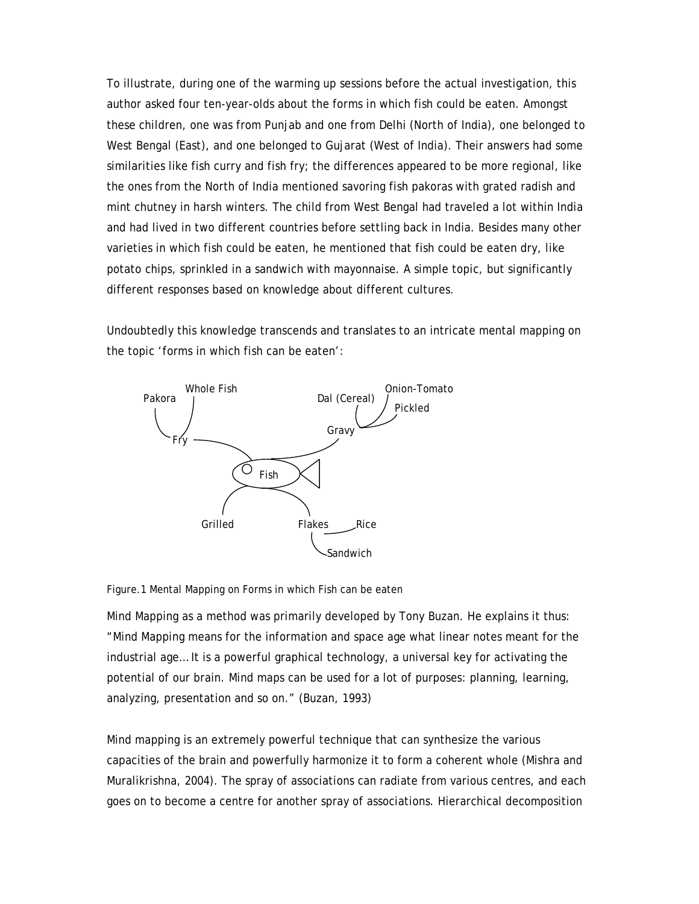To illustrate, during one of the warming up sessions before the actual investigation, this author asked four ten-year-olds about the forms in which fish could be eaten. Amongst these children, one was from Punjab and one from Delhi (North of India), one belonged to West Bengal (East), and one belonged to Gujarat (West of India). Their answers had some similarities like fish curry and fish fry; the differences appeared to be more regional, like the ones from the North of India mentioned savoring fish pakoras with grated radish and mint chutney in harsh winters. The child from West Bengal had traveled a lot within India and had lived in two different countries before settling back in India. Besides many other varieties in which fish could be eaten, he mentioned that fish could be eaten dry, like potato chips, sprinkled in a sandwich with mayonnaise. A simple topic, but significantly different responses based on knowledge about different cultures.

Undoubtedly this knowledge transcends and translates to an intricate mental mapping on the topic 'forms in which fish can be eaten':



Figure.1 Mental Mapping on Forms in which Fish can be eaten

Mind Mapping as a method was primarily developed by Tony Buzan. He explains it thus: "Mind Mapping means for the information and space age what linear notes meant for the industrial age… It is a powerful graphical technology, a universal key for activating the potential of our brain. Mind maps can be used for a lot of purposes: planning, learning, analyzing, presentation and so on." (Buzan, 1993)

Mind mapping is an extremely powerful technique that can synthesize the various capacities of the brain and powerfully harmonize it to form a coherent whole (Mishra and Muralikrishna, 2004). The spray of associations can radiate from various centres, and each goes on to become a centre for another spray of associations. Hierarchical decomposition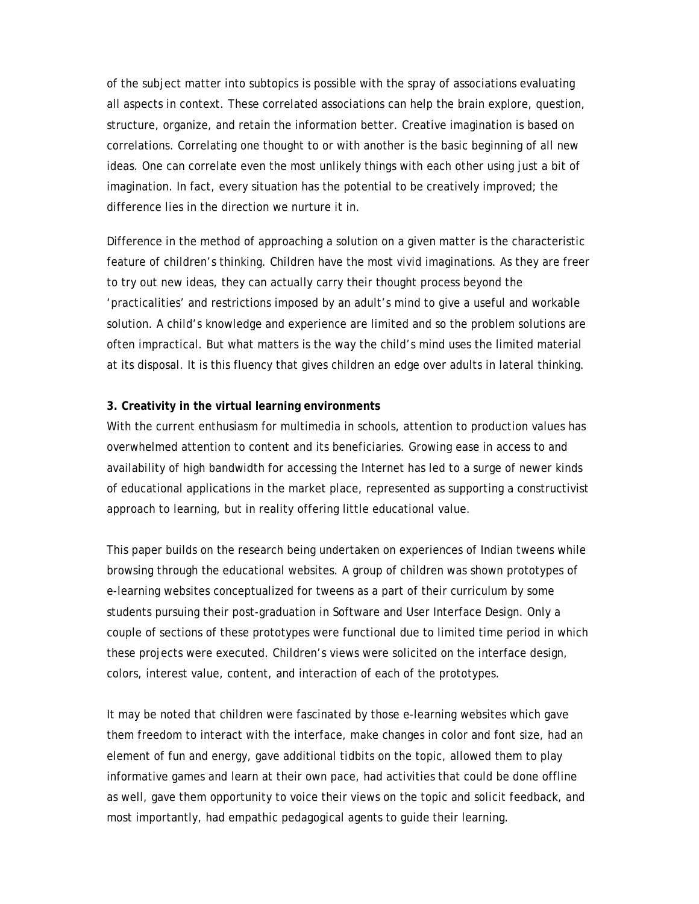of the subject matter into subtopics is possible with the spray of associations evaluating all aspects in context. These correlated associations can help the brain explore, question, structure, organize, and retain the information better. Creative imagination is based on correlations. Correlating one thought to or with another is the basic beginning of all new ideas. One can correlate even the most unlikely things with each other using just a bit of imagination. In fact, every situation has the potential to be creatively improved; the difference lies in the direction we nurture it in.

Difference in the method of approaching a solution on a given matter is the characteristic feature of children's thinking. Children have the most vivid imaginations. As they are freer to try out new ideas, they can actually carry their thought process beyond the 'practicalities' and restrictions imposed by an adult's mind to give a useful and workable solution. A child's knowledge and experience are limited and so the problem solutions are often impractical. But what matters is the way the child's mind uses the limited material at its disposal. It is this fluency that gives children an edge over adults in lateral thinking.

## **3. Creativity in the virtual learning environments**

With the current enthusiasm for multimedia in schools, attention to production values has overwhelmed attention to content and its beneficiaries. Growing ease in access to and availability of high bandwidth for accessing the Internet has led to a surge of newer kinds of educational applications in the market place, represented as supporting a constructivist approach to learning, but in reality offering little educational value.

This paper builds on the research being undertaken on experiences of Indian tweens while browsing through the educational websites. A group of children was shown prototypes of e-learning websites conceptualized for tweens as a part of their curriculum by some students pursuing their post-graduation in Software and User Interface Design. Only a couple of sections of these prototypes were functional due to limited time period in which these projects were executed. Children's views were solicited on the interface design, colors, interest value, content, and interaction of each of the prototypes.

It may be noted that children were fascinated by those e-learning websites which gave them freedom to interact with the interface, make changes in color and font size, had an element of fun and energy, gave additional tidbits on the topic, allowed them to play informative games and learn at their own pace, had activities that could be done offline as well, gave them opportunity to voice their views on the topic and solicit feedback, and most importantly, had empathic pedagogical agents to guide their learning.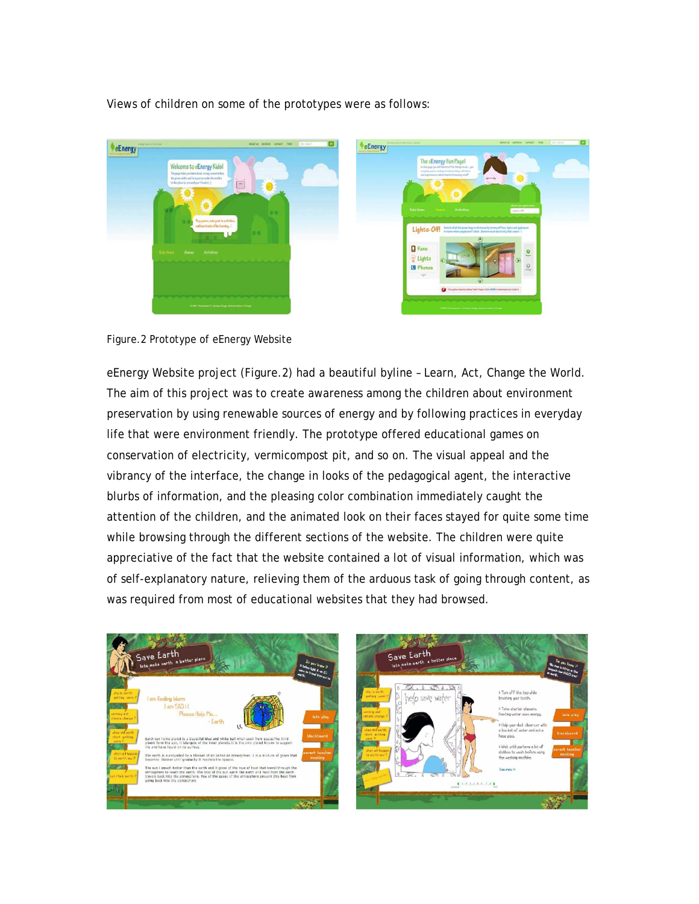Views of children on some of the prototypes were as follows:





eEnergy Website project (Figure.2) had a beautiful byline – Learn, Act, Change the World. The aim of this project was to create awareness among the children about environment preservation by using renewable sources of energy and by following practices in everyday life that were environment friendly. The prototype offered educational games on conservation of electricity, vermicompost pit, and so on. The visual appeal and the vibrancy of the interface, the change in looks of the pedagogical agent, the interactive blurbs of information, and the pleasing color combination immediately caught the attention of the children, and the animated look on their faces stayed for quite some time while browsing through the different sections of the website. The children were quite appreciative of the fact that the website contained a lot of visual information, which was of self-explanatory nature, relieving them of the arduous task of going through content, as was required from most of educational websites that they had browsed.

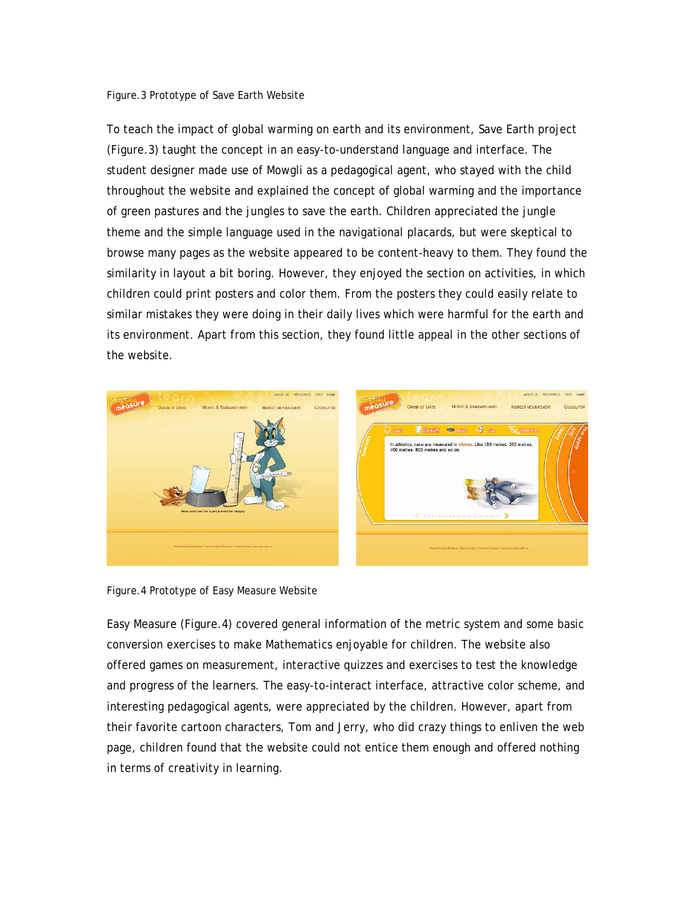#### Figure.3 Prototype of Save Earth Website

To teach the impact of global warming on earth and its environment, Save Earth project (Figure.3) taught the concept in an easy-to-understand language and interface. The student designer made use of Mowgli as a pedagogical agent, who stayed with the child throughout the website and explained the concept of global warming and the importance of green pastures and the jungles to save the earth. Children appreciated the jungle theme and the simple language used in the navigational placards, but were skeptical to browse many pages as the website appeared to be content-heavy to them. They found the similarity in layout a bit boring. However, they enjoyed the section on activities, in which children could print posters and color them. From the posters they could easily relate to similar mistakes they were doing in their daily lives which were harmful for the earth and its environment. Apart from this section, they found little appeal in the other sections of the website.



Figure.4 Prototype of Easy Measure Website

Easy Measure (Figure.4) covered general information of the metric system and some basic conversion exercises to make Mathematics enjoyable for children. The website also offered games on measurement, interactive quizzes and exercises to test the knowledge and progress of the learners. The easy-to-interact interface, attractive color scheme, and interesting pedagogical agents, were appreciated by the children. However, apart from their favorite cartoon characters, Tom and Jerry, who did crazy things to enliven the web page, children found that the website could not entice them enough and offered nothing in terms of creativity in learning.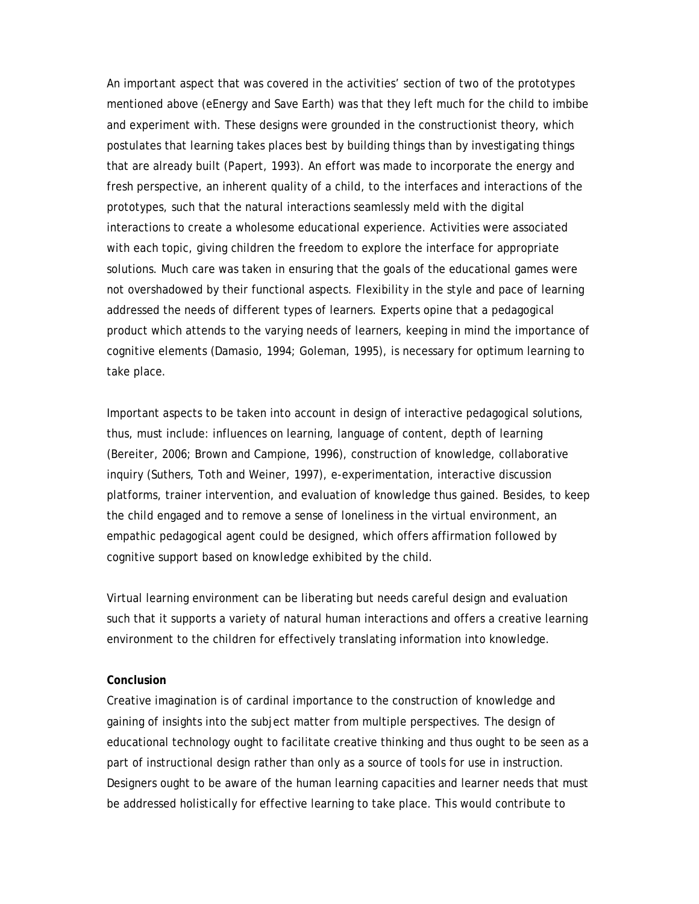An important aspect that was covered in the activities' section of two of the prototypes mentioned above (eEnergy and Save Earth) was that they left much for the child to imbibe and experiment with. These designs were grounded in the constructionist theory, which postulates that learning takes places best by building things than by investigating things that are already built (Papert, 1993). An effort was made to incorporate the energy and fresh perspective, an inherent quality of a child, to the interfaces and interactions of the prototypes, such that the natural interactions seamlessly meld with the digital interactions to create a wholesome educational experience. Activities were associated with each topic, giving children the freedom to explore the interface for appropriate solutions. Much care was taken in ensuring that the goals of the educational games were not overshadowed by their functional aspects. Flexibility in the style and pace of learning addressed the needs of different types of learners. Experts opine that a pedagogical product which attends to the varying needs of learners, keeping in mind the importance of cognitive elements (Damasio, 1994; Goleman, 1995), is necessary for optimum learning to take place.

Important aspects to be taken into account in design of interactive pedagogical solutions, thus, must include: influences on learning, language of content, depth of learning (Bereiter, 2006; Brown and Campione, 1996), construction of knowledge, collaborative inquiry (Suthers, Toth and Weiner, 1997), e-experimentation, interactive discussion platforms, trainer intervention, and evaluation of knowledge thus gained. Besides, to keep the child engaged and to remove a sense of loneliness in the virtual environment, an empathic pedagogical agent could be designed, which offers affirmation followed by cognitive support based on knowledge exhibited by the child.

Virtual learning environment can be liberating but needs careful design and evaluation such that it supports a variety of natural human interactions and offers a creative learning environment to the children for effectively translating information into knowledge.

## **Conclusion**

Creative imagination is of cardinal importance to the construction of knowledge and gaining of insights into the subject matter from multiple perspectives. The design of educational technology ought to facilitate creative thinking and thus ought to be seen as a part of instructional design rather than only as a source of tools for use in instruction. Designers ought to be aware of the human learning capacities and learner needs that must be addressed holistically for effective learning to take place. This would contribute to